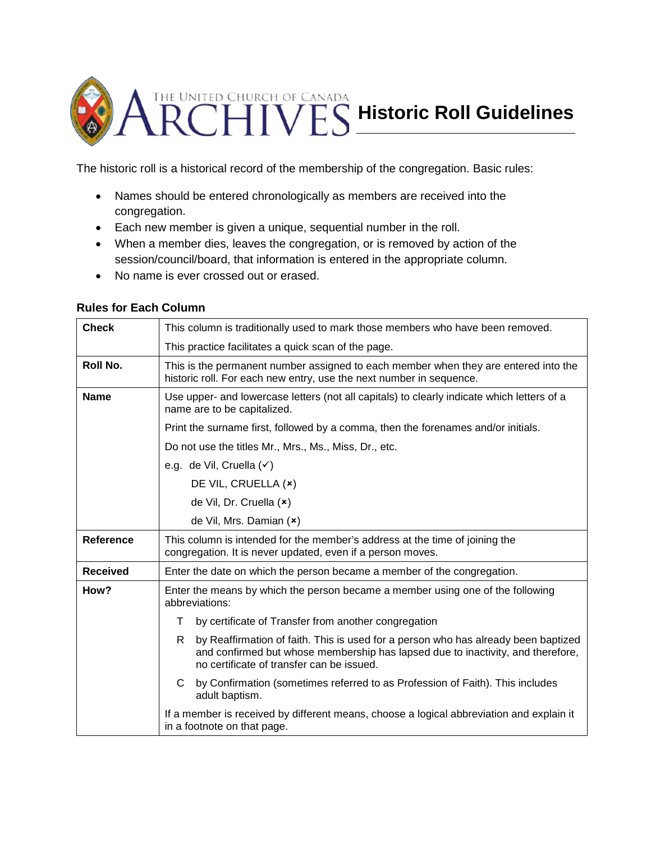

The historic roll is a historical record of the membership of the congregation. Basic rules:

- Names should be entered chronologically as members are received into the congregation.
- Each new member is given a unique, sequential number in the roll.
- When a member dies, leaves the congregation, or is removed by action of the session/council/board, that information is entered in the appropriate column.
- No name is ever crossed out or erased.

## **Rules for Each Column**

| <b>Check</b>    | This column is traditionally used to mark those members who have been removed.                                                                                                                                          |
|-----------------|-------------------------------------------------------------------------------------------------------------------------------------------------------------------------------------------------------------------------|
|                 | This practice facilitates a quick scan of the page.                                                                                                                                                                     |
| Roll No.        | This is the permanent number assigned to each member when they are entered into the<br>historic roll. For each new entry, use the next number in sequence.                                                              |
| <b>Name</b>     | Use upper- and lowercase letters (not all capitals) to clearly indicate which letters of a<br>name are to be capitalized.                                                                                               |
|                 | Print the surname first, followed by a comma, then the forenames and/or initials.                                                                                                                                       |
|                 | Do not use the titles Mr., Mrs., Ms., Miss, Dr., etc.                                                                                                                                                                   |
|                 | e.g. de Vil, Cruella (v)                                                                                                                                                                                                |
|                 | DE VIL, CRUELLA (x)                                                                                                                                                                                                     |
|                 | de Vil, Dr. Cruella (x)                                                                                                                                                                                                 |
|                 | de Vil, Mrs. Damian (x)                                                                                                                                                                                                 |
| Reference       | This column is intended for the member's address at the time of joining the<br>congregation. It is never updated, even if a person moves.                                                                               |
| <b>Received</b> | Enter the date on which the person became a member of the congregation.                                                                                                                                                 |
| How?            | Enter the means by which the person became a member using one of the following<br>abbreviations:                                                                                                                        |
|                 | by certificate of Transfer from another congregation<br>т                                                                                                                                                               |
|                 | by Reaffirmation of faith. This is used for a person who has already been baptized<br>R<br>and confirmed but whose membership has lapsed due to inactivity, and therefore,<br>no certificate of transfer can be issued. |
|                 | by Confirmation (sometimes referred to as Profession of Faith). This includes<br>C<br>adult baptism.                                                                                                                    |
|                 | If a member is received by different means, choose a logical abbreviation and explain it<br>in a footnote on that page.                                                                                                 |